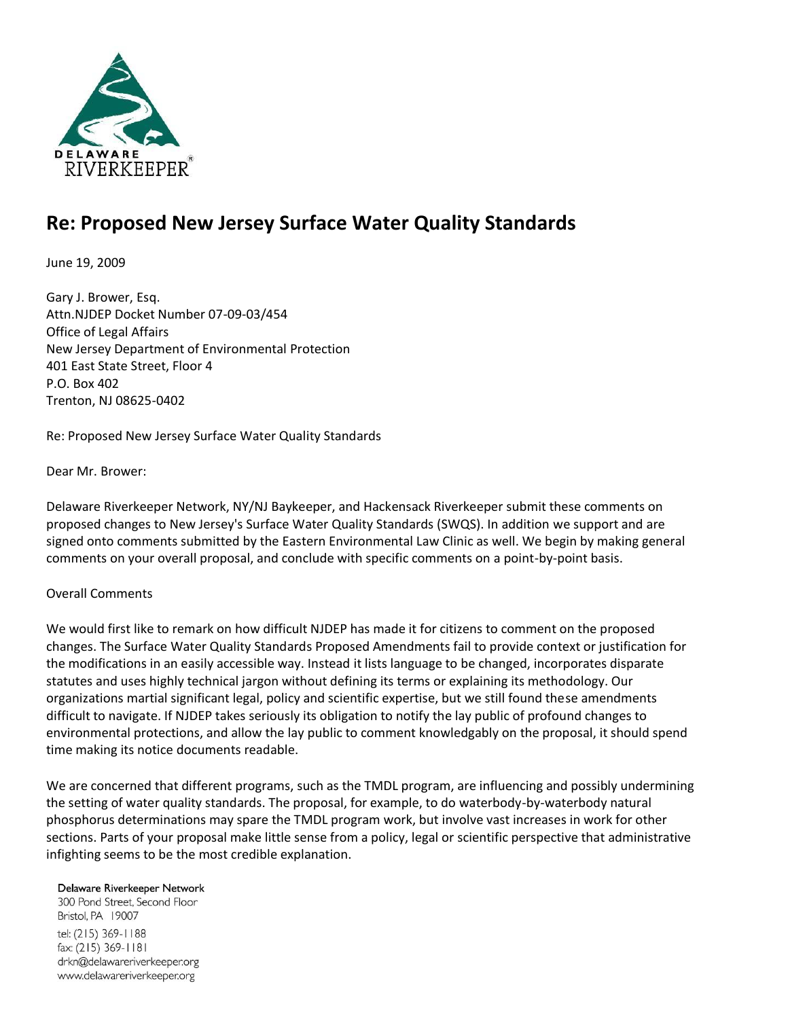

# **Re: Proposed New Jersey Surface Water Quality Standards**

June 19, 2009

Gary J. Brower, Esq. Attn.NJDEP Docket Number 07-09-03/454 Office of Legal Affairs New Jersey Department of Environmental Protection 401 East State Street, Floor 4 P.O. Box 402 Trenton, NJ 08625-0402

Re: Proposed New Jersey Surface Water Quality Standards

Dear Mr. Brower:

Delaware Riverkeeper Network, NY/NJ Baykeeper, and Hackensack Riverkeeper submit these comments on proposed changes to New Jersey's Surface Water Quality Standards (SWQS). In addition we support and are signed onto comments submitted by the Eastern Environmental Law Clinic as well. We begin by making general comments on your overall proposal, and conclude with specific comments on a point-by-point basis.

## Overall Comments

We would first like to remark on how difficult NJDEP has made it for citizens to comment on the proposed changes. The Surface Water Quality Standards Proposed Amendments fail to provide context or justification for the modifications in an easily accessible way. Instead it lists language to be changed, incorporates disparate statutes and uses highly technical jargon without defining its terms or explaining its methodology. Our organizations martial significant legal, policy and scientific expertise, but we still found these amendments difficult to navigate. If NJDEP takes seriously its obligation to notify the lay public of profound changes to environmental protections, and allow the lay public to comment knowledgably on the proposal, it should spend time making its notice documents readable.

We are concerned that different programs, such as the TMDL program, are influencing and possibly undermining the setting of water quality standards. The proposal, for example, to do waterbody-by-waterbody natural phosphorus determinations may spare the TMDL program work, but involve vast increases in work for other sections. Parts of your proposal make little sense from a policy, legal or scientific perspective that administrative infighting seems to be the most credible explanation.

#### Delaware Riverkeeper Network

300 Pond Street, Second Floor Bristol, PA 19007 tel: (215) 369-1188 fax: (215) 369-1181 drkn@delawareriverkeeper.org www.delawareriverkeeper.org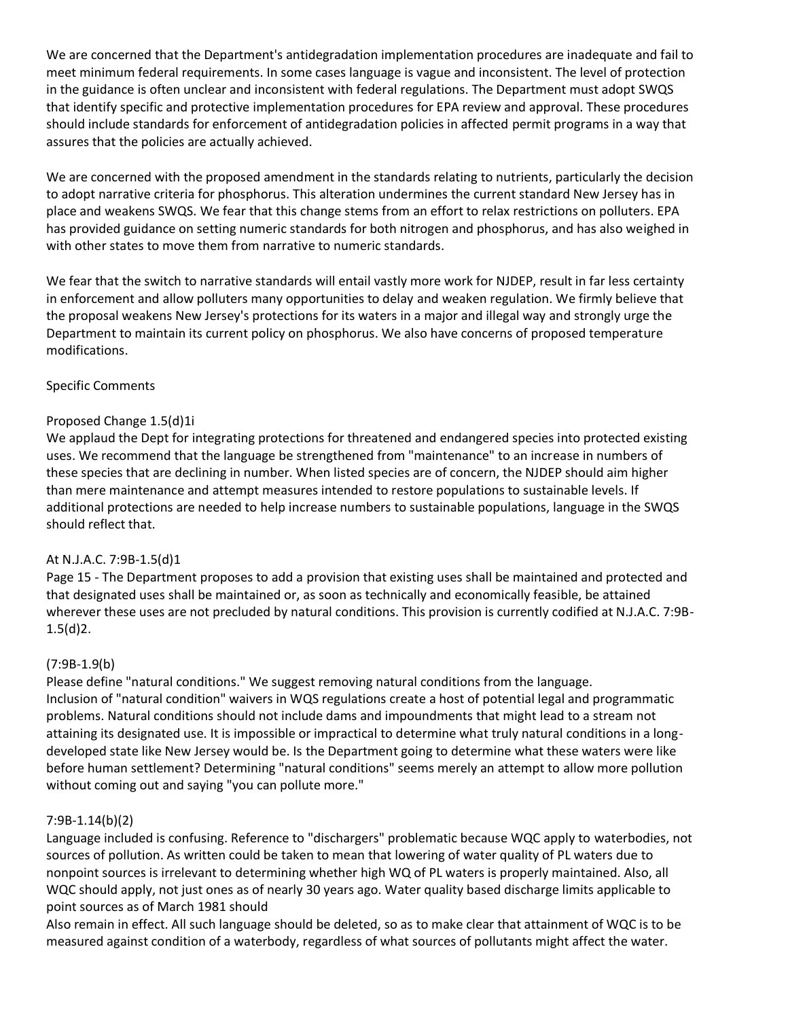We are concerned that the Department's antidegradation implementation procedures are inadequate and fail to meet minimum federal requirements. In some cases language is vague and inconsistent. The level of protection in the guidance is often unclear and inconsistent with federal regulations. The Department must adopt SWQS that identify specific and protective implementation procedures for EPA review and approval. These procedures should include standards for enforcement of antidegradation policies in affected permit programs in a way that assures that the policies are actually achieved.

We are concerned with the proposed amendment in the standards relating to nutrients, particularly the decision to adopt narrative criteria for phosphorus. This alteration undermines the current standard New Jersey has in place and weakens SWQS. We fear that this change stems from an effort to relax restrictions on polluters. EPA has provided guidance on setting numeric standards for both nitrogen and phosphorus, and has also weighed in with other states to move them from narrative to numeric standards.

We fear that the switch to narrative standards will entail vastly more work for NJDEP, result in far less certainty in enforcement and allow polluters many opportunities to delay and weaken regulation. We firmly believe that the proposal weakens New Jersey's protections for its waters in a major and illegal way and strongly urge the Department to maintain its current policy on phosphorus. We also have concerns of proposed temperature modifications.

## Specific Comments

## Proposed Change 1.5(d)1i

We applaud the Dept for integrating protections for threatened and endangered species into protected existing uses. We recommend that the language be strengthened from "maintenance" to an increase in numbers of these species that are declining in number. When listed species are of concern, the NJDEP should aim higher than mere maintenance and attempt measures intended to restore populations to sustainable levels. If additional protections are needed to help increase numbers to sustainable populations, language in the SWQS should reflect that.

## At N.J.A.C. 7:9B-1.5(d)1

Page 15 - The Department proposes to add a provision that existing uses shall be maintained and protected and that designated uses shall be maintained or, as soon as technically and economically feasible, be attained wherever these uses are not precluded by natural conditions. This provision is currently codified at N.J.A.C. 7:9B-1.5(d)2.

## (7:9B-1.9(b)

Please define "natural conditions." We suggest removing natural conditions from the language. Inclusion of "natural condition" waivers in WQS regulations create a host of potential legal and programmatic problems. Natural conditions should not include dams and impoundments that might lead to a stream not attaining its designated use. It is impossible or impractical to determine what truly natural conditions in a longdeveloped state like New Jersey would be. Is the Department going to determine what these waters were like before human settlement? Determining "natural conditions" seems merely an attempt to allow more pollution without coming out and saying "you can pollute more."

## 7:9B-1.14(b)(2)

Language included is confusing. Reference to "dischargers" problematic because WQC apply to waterbodies, not sources of pollution. As written could be taken to mean that lowering of water quality of PL waters due to nonpoint sources is irrelevant to determining whether high WQ of PL waters is properly maintained. Also, all WQC should apply, not just ones as of nearly 30 years ago. Water quality based discharge limits applicable to point sources as of March 1981 should

Also remain in effect. All such language should be deleted, so as to make clear that attainment of WQC is to be measured against condition of a waterbody, regardless of what sources of pollutants might affect the water.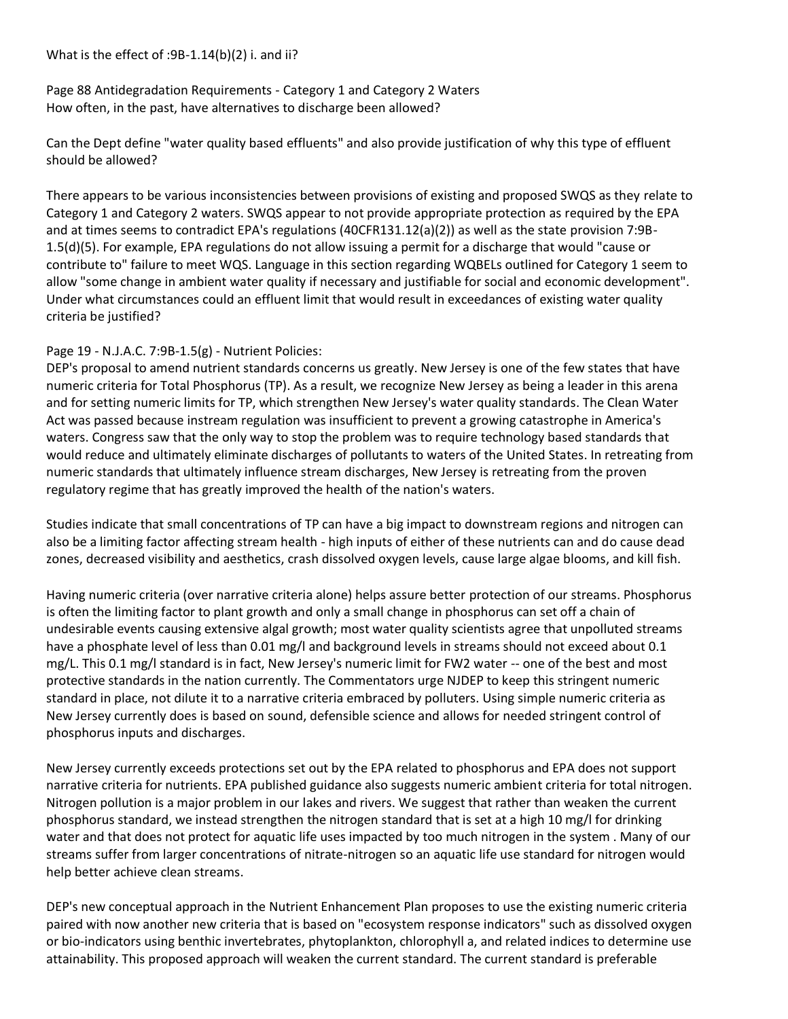What is the effect of :9B-1.14(b)(2) i. and ii?

Page 88 Antidegradation Requirements - Category 1 and Category 2 Waters How often, in the past, have alternatives to discharge been allowed?

Can the Dept define "water quality based effluents" and also provide justification of why this type of effluent should be allowed?

There appears to be various inconsistencies between provisions of existing and proposed SWQS as they relate to Category 1 and Category 2 waters. SWQS appear to not provide appropriate protection as required by the EPA and at times seems to contradict EPA's regulations (40CFR131.12(a)(2)) as well as the state provision 7:9B-1.5(d)(5). For example, EPA regulations do not allow issuing a permit for a discharge that would "cause or contribute to" failure to meet WQS. Language in this section regarding WQBELs outlined for Category 1 seem to allow "some change in ambient water quality if necessary and justifiable for social and economic development". Under what circumstances could an effluent limit that would result in exceedances of existing water quality criteria be justified?

## Page 19 - N.J.A.C. 7:9B-1.5(g) - Nutrient Policies:

DEP's proposal to amend nutrient standards concerns us greatly. New Jersey is one of the few states that have numeric criteria for Total Phosphorus (TP). As a result, we recognize New Jersey as being a leader in this arena and for setting numeric limits for TP, which strengthen New Jersey's water quality standards. The Clean Water Act was passed because instream regulation was insufficient to prevent a growing catastrophe in America's waters. Congress saw that the only way to stop the problem was to require technology based standards that would reduce and ultimately eliminate discharges of pollutants to waters of the United States. In retreating from numeric standards that ultimately influence stream discharges, New Jersey is retreating from the proven regulatory regime that has greatly improved the health of the nation's waters.

Studies indicate that small concentrations of TP can have a big impact to downstream regions and nitrogen can also be a limiting factor affecting stream health - high inputs of either of these nutrients can and do cause dead zones, decreased visibility and aesthetics, crash dissolved oxygen levels, cause large algae blooms, and kill fish.

Having numeric criteria (over narrative criteria alone) helps assure better protection of our streams. Phosphorus is often the limiting factor to plant growth and only a small change in phosphorus can set off a chain of undesirable events causing extensive algal growth; most water quality scientists agree that unpolluted streams have a phosphate level of less than 0.01 mg/l and background levels in streams should not exceed about 0.1 mg/L. This 0.1 mg/l standard is in fact, New Jersey's numeric limit for FW2 water -- one of the best and most protective standards in the nation currently. The Commentators urge NJDEP to keep this stringent numeric standard in place, not dilute it to a narrative criteria embraced by polluters. Using simple numeric criteria as New Jersey currently does is based on sound, defensible science and allows for needed stringent control of phosphorus inputs and discharges.

New Jersey currently exceeds protections set out by the EPA related to phosphorus and EPA does not support narrative criteria for nutrients. EPA published guidance also suggests numeric ambient criteria for total nitrogen. Nitrogen pollution is a major problem in our lakes and rivers. We suggest that rather than weaken the current phosphorus standard, we instead strengthen the nitrogen standard that is set at a high 10 mg/l for drinking water and that does not protect for aquatic life uses impacted by too much nitrogen in the system . Many of our streams suffer from larger concentrations of nitrate-nitrogen so an aquatic life use standard for nitrogen would help better achieve clean streams.

DEP's new conceptual approach in the Nutrient Enhancement Plan proposes to use the existing numeric criteria paired with now another new criteria that is based on "ecosystem response indicators" such as dissolved oxygen or bio-indicators using benthic invertebrates, phytoplankton, chlorophyll a, and related indices to determine use attainability. This proposed approach will weaken the current standard. The current standard is preferable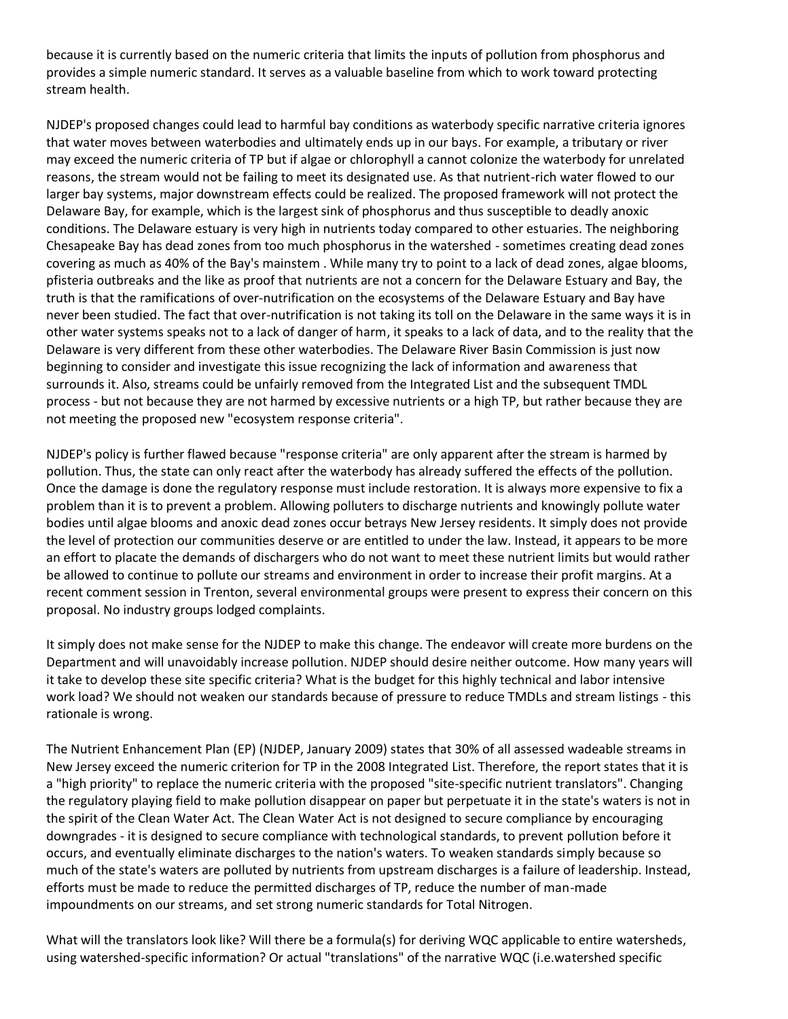because it is currently based on the numeric criteria that limits the inputs of pollution from phosphorus and provides a simple numeric standard. It serves as a valuable baseline from which to work toward protecting stream health.

NJDEP's proposed changes could lead to harmful bay conditions as waterbody specific narrative criteria ignores that water moves between waterbodies and ultimately ends up in our bays. For example, a tributary or river may exceed the numeric criteria of TP but if algae or chlorophyll a cannot colonize the waterbody for unrelated reasons, the stream would not be failing to meet its designated use. As that nutrient-rich water flowed to our larger bay systems, major downstream effects could be realized. The proposed framework will not protect the Delaware Bay, for example, which is the largest sink of phosphorus and thus susceptible to deadly anoxic conditions. The Delaware estuary is very high in nutrients today compared to other estuaries. The neighboring Chesapeake Bay has dead zones from too much phosphorus in the watershed - sometimes creating dead zones covering as much as 40% of the Bay's mainstem . While many try to point to a lack of dead zones, algae blooms, pfisteria outbreaks and the like as proof that nutrients are not a concern for the Delaware Estuary and Bay, the truth is that the ramifications of over-nutrification on the ecosystems of the Delaware Estuary and Bay have never been studied. The fact that over-nutrification is not taking its toll on the Delaware in the same ways it is in other water systems speaks not to a lack of danger of harm, it speaks to a lack of data, and to the reality that the Delaware is very different from these other waterbodies. The Delaware River Basin Commission is just now beginning to consider and investigate this issue recognizing the lack of information and awareness that surrounds it. Also, streams could be unfairly removed from the Integrated List and the subsequent TMDL process - but not because they are not harmed by excessive nutrients or a high TP, but rather because they are not meeting the proposed new "ecosystem response criteria".

NJDEP's policy is further flawed because "response criteria" are only apparent after the stream is harmed by pollution. Thus, the state can only react after the waterbody has already suffered the effects of the pollution. Once the damage is done the regulatory response must include restoration. It is always more expensive to fix a problem than it is to prevent a problem. Allowing polluters to discharge nutrients and knowingly pollute water bodies until algae blooms and anoxic dead zones occur betrays New Jersey residents. It simply does not provide the level of protection our communities deserve or are entitled to under the law. Instead, it appears to be more an effort to placate the demands of dischargers who do not want to meet these nutrient limits but would rather be allowed to continue to pollute our streams and environment in order to increase their profit margins. At a recent comment session in Trenton, several environmental groups were present to express their concern on this proposal. No industry groups lodged complaints.

It simply does not make sense for the NJDEP to make this change. The endeavor will create more burdens on the Department and will unavoidably increase pollution. NJDEP should desire neither outcome. How many years will it take to develop these site specific criteria? What is the budget for this highly technical and labor intensive work load? We should not weaken our standards because of pressure to reduce TMDLs and stream listings - this rationale is wrong.

The Nutrient Enhancement Plan (EP) (NJDEP, January 2009) states that 30% of all assessed wadeable streams in New Jersey exceed the numeric criterion for TP in the 2008 Integrated List. Therefore, the report states that it is a "high priority" to replace the numeric criteria with the proposed "site-specific nutrient translators". Changing the regulatory playing field to make pollution disappear on paper but perpetuate it in the state's waters is not in the spirit of the Clean Water Act. The Clean Water Act is not designed to secure compliance by encouraging downgrades - it is designed to secure compliance with technological standards, to prevent pollution before it occurs, and eventually eliminate discharges to the nation's waters. To weaken standards simply because so much of the state's waters are polluted by nutrients from upstream discharges is a failure of leadership. Instead, efforts must be made to reduce the permitted discharges of TP, reduce the number of man-made impoundments on our streams, and set strong numeric standards for Total Nitrogen.

What will the translators look like? Will there be a formula(s) for deriving WQC applicable to entire watersheds, using watershed-specific information? Or actual "translations" of the narrative WQC (i.e.watershed specific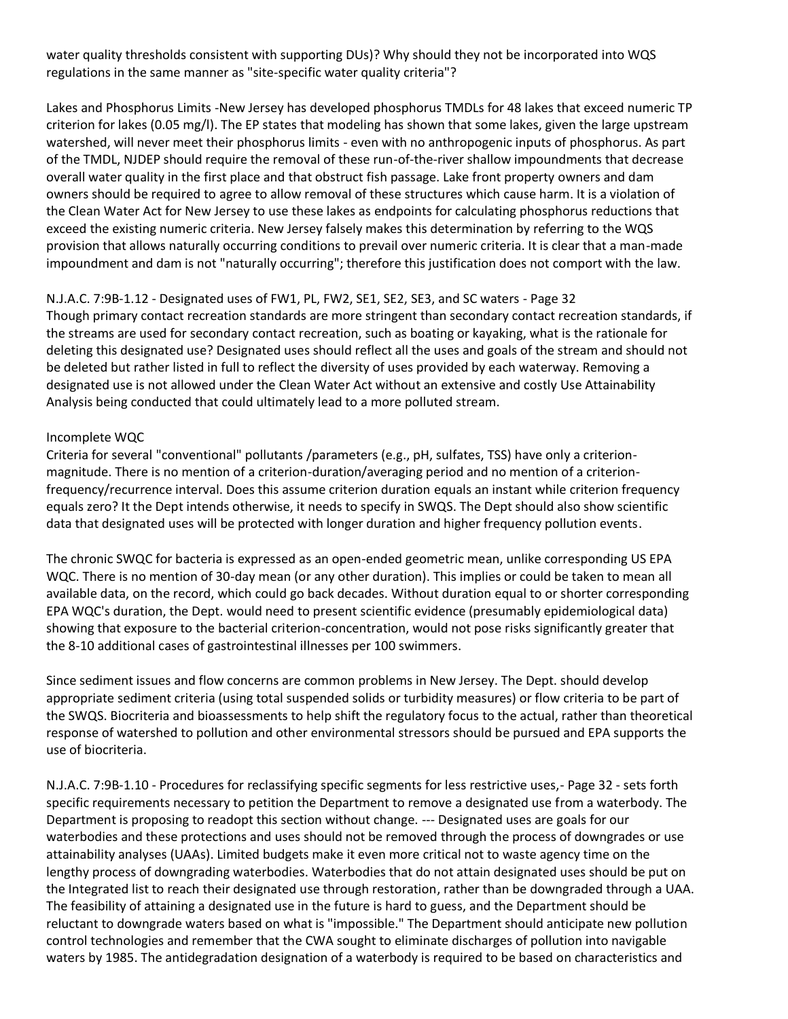water quality thresholds consistent with supporting DUs)? Why should they not be incorporated into WQS regulations in the same manner as "site-specific water quality criteria"?

Lakes and Phosphorus Limits -New Jersey has developed phosphorus TMDLs for 48 lakes that exceed numeric TP criterion for lakes (0.05 mg/l). The EP states that modeling has shown that some lakes, given the large upstream watershed, will never meet their phosphorus limits - even with no anthropogenic inputs of phosphorus. As part of the TMDL, NJDEP should require the removal of these run-of-the-river shallow impoundments that decrease overall water quality in the first place and that obstruct fish passage. Lake front property owners and dam owners should be required to agree to allow removal of these structures which cause harm. It is a violation of the Clean Water Act for New Jersey to use these lakes as endpoints for calculating phosphorus reductions that exceed the existing numeric criteria. New Jersey falsely makes this determination by referring to the WQS provision that allows naturally occurring conditions to prevail over numeric criteria. It is clear that a man-made impoundment and dam is not "naturally occurring"; therefore this justification does not comport with the law.

N.J.A.C. 7:9B-1.12 - Designated uses of FW1, PL, FW2, SE1, SE2, SE3, and SC waters - Page 32 Though primary contact recreation standards are more stringent than secondary contact recreation standards, if the streams are used for secondary contact recreation, such as boating or kayaking, what is the rationale for deleting this designated use? Designated uses should reflect all the uses and goals of the stream and should not be deleted but rather listed in full to reflect the diversity of uses provided by each waterway. Removing a designated use is not allowed under the Clean Water Act without an extensive and costly Use Attainability Analysis being conducted that could ultimately lead to a more polluted stream.

#### Incomplete WQC

Criteria for several "conventional" pollutants /parameters (e.g., pH, sulfates, TSS) have only a criterionmagnitude. There is no mention of a criterion-duration/averaging period and no mention of a criterionfrequency/recurrence interval. Does this assume criterion duration equals an instant while criterion frequency equals zero? It the Dept intends otherwise, it needs to specify in SWQS. The Dept should also show scientific data that designated uses will be protected with longer duration and higher frequency pollution events.

The chronic SWQC for bacteria is expressed as an open-ended geometric mean, unlike corresponding US EPA WQC. There is no mention of 30-day mean (or any other duration). This implies or could be taken to mean all available data, on the record, which could go back decades. Without duration equal to or shorter corresponding EPA WQC's duration, the Dept. would need to present scientific evidence (presumably epidemiological data) showing that exposure to the bacterial criterion-concentration, would not pose risks significantly greater that the 8-10 additional cases of gastrointestinal illnesses per 100 swimmers.

Since sediment issues and flow concerns are common problems in New Jersey. The Dept. should develop appropriate sediment criteria (using total suspended solids or turbidity measures) or flow criteria to be part of the SWQS. Biocriteria and bioassessments to help shift the regulatory focus to the actual, rather than theoretical response of watershed to pollution and other environmental stressors should be pursued and EPA supports the use of biocriteria.

N.J.A.C. 7:9B-1.10 - Procedures for reclassifying specific segments for less restrictive uses,- Page 32 - sets forth specific requirements necessary to petition the Department to remove a designated use from a waterbody. The Department is proposing to readopt this section without change. --- Designated uses are goals for our waterbodies and these protections and uses should not be removed through the process of downgrades or use attainability analyses (UAAs). Limited budgets make it even more critical not to waste agency time on the lengthy process of downgrading waterbodies. Waterbodies that do not attain designated uses should be put on the Integrated list to reach their designated use through restoration, rather than be downgraded through a UAA. The feasibility of attaining a designated use in the future is hard to guess, and the Department should be reluctant to downgrade waters based on what is "impossible." The Department should anticipate new pollution control technologies and remember that the CWA sought to eliminate discharges of pollution into navigable waters by 1985. The antidegradation designation of a waterbody is required to be based on characteristics and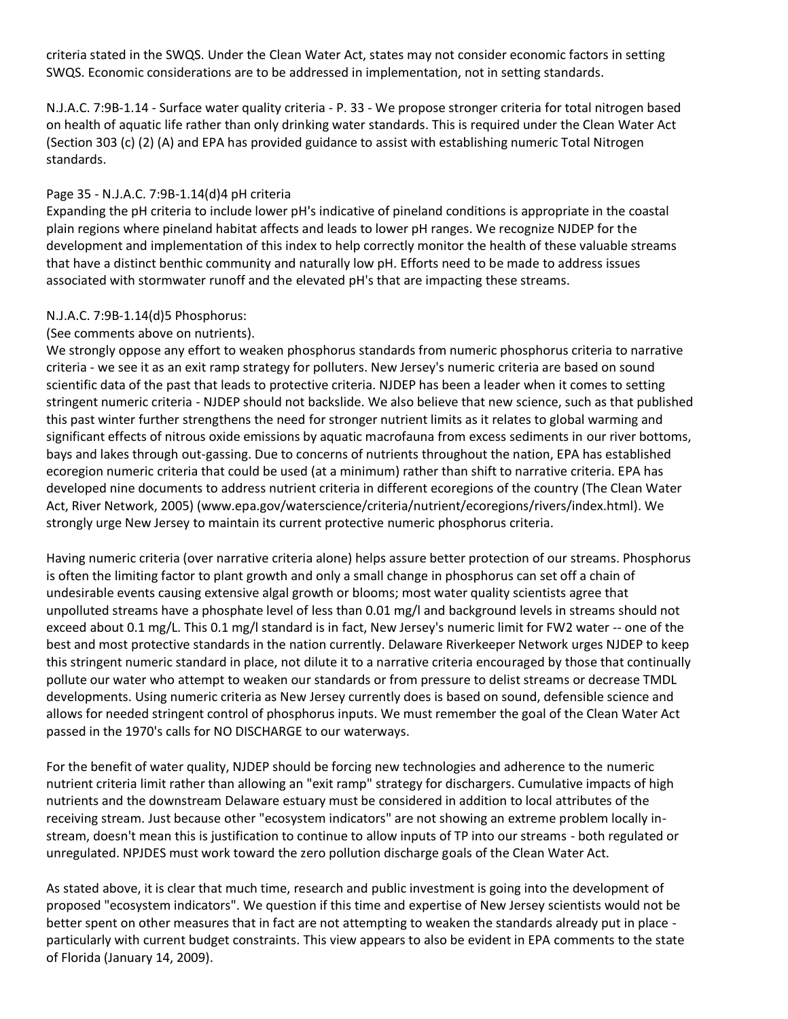criteria stated in the SWQS. Under the Clean Water Act, states may not consider economic factors in setting SWQS. Economic considerations are to be addressed in implementation, not in setting standards.

N.J.A.C. 7:9B-1.14 - Surface water quality criteria - P. 33 - We propose stronger criteria for total nitrogen based on health of aquatic life rather than only drinking water standards. This is required under the Clean Water Act (Section 303 (c) (2) (A) and EPA has provided guidance to assist with establishing numeric Total Nitrogen standards.

## Page 35 - N.J.A.C. 7:9B-1.14(d)4 pH criteria

Expanding the pH criteria to include lower pH's indicative of pineland conditions is appropriate in the coastal plain regions where pineland habitat affects and leads to lower pH ranges. We recognize NJDEP for the development and implementation of this index to help correctly monitor the health of these valuable streams that have a distinct benthic community and naturally low pH. Efforts need to be made to address issues associated with stormwater runoff and the elevated pH's that are impacting these streams.

## N.J.A.C. 7:9B-1.14(d)5 Phosphorus:

## (See comments above on nutrients).

We strongly oppose any effort to weaken phosphorus standards from numeric phosphorus criteria to narrative criteria - we see it as an exit ramp strategy for polluters. New Jersey's numeric criteria are based on sound scientific data of the past that leads to protective criteria. NJDEP has been a leader when it comes to setting stringent numeric criteria - NJDEP should not backslide. We also believe that new science, such as that published this past winter further strengthens the need for stronger nutrient limits as it relates to global warming and significant effects of nitrous oxide emissions by aquatic macrofauna from excess sediments in our river bottoms, bays and lakes through out-gassing. Due to concerns of nutrients throughout the nation, EPA has established ecoregion numeric criteria that could be used (at a minimum) rather than shift to narrative criteria. EPA has developed nine documents to address nutrient criteria in different ecoregions of the country (The Clean Water Act, River Network, 2005) (www.epa.gov/waterscience/criteria/nutrient/ecoregions/rivers/index.html). We strongly urge New Jersey to maintain its current protective numeric phosphorus criteria.

Having numeric criteria (over narrative criteria alone) helps assure better protection of our streams. Phosphorus is often the limiting factor to plant growth and only a small change in phosphorus can set off a chain of undesirable events causing extensive algal growth or blooms; most water quality scientists agree that unpolluted streams have a phosphate level of less than 0.01 mg/l and background levels in streams should not exceed about 0.1 mg/L. This 0.1 mg/l standard is in fact, New Jersey's numeric limit for FW2 water -- one of the best and most protective standards in the nation currently. Delaware Riverkeeper Network urges NJDEP to keep this stringent numeric standard in place, not dilute it to a narrative criteria encouraged by those that continually pollute our water who attempt to weaken our standards or from pressure to delist streams or decrease TMDL developments. Using numeric criteria as New Jersey currently does is based on sound, defensible science and allows for needed stringent control of phosphorus inputs. We must remember the goal of the Clean Water Act passed in the 1970's calls for NO DISCHARGE to our waterways.

For the benefit of water quality, NJDEP should be forcing new technologies and adherence to the numeric nutrient criteria limit rather than allowing an "exit ramp" strategy for dischargers. Cumulative impacts of high nutrients and the downstream Delaware estuary must be considered in addition to local attributes of the receiving stream. Just because other "ecosystem indicators" are not showing an extreme problem locally instream, doesn't mean this is justification to continue to allow inputs of TP into our streams - both regulated or unregulated. NPJDES must work toward the zero pollution discharge goals of the Clean Water Act.

As stated above, it is clear that much time, research and public investment is going into the development of proposed "ecosystem indicators". We question if this time and expertise of New Jersey scientists would not be better spent on other measures that in fact are not attempting to weaken the standards already put in place particularly with current budget constraints. This view appears to also be evident in EPA comments to the state of Florida (January 14, 2009).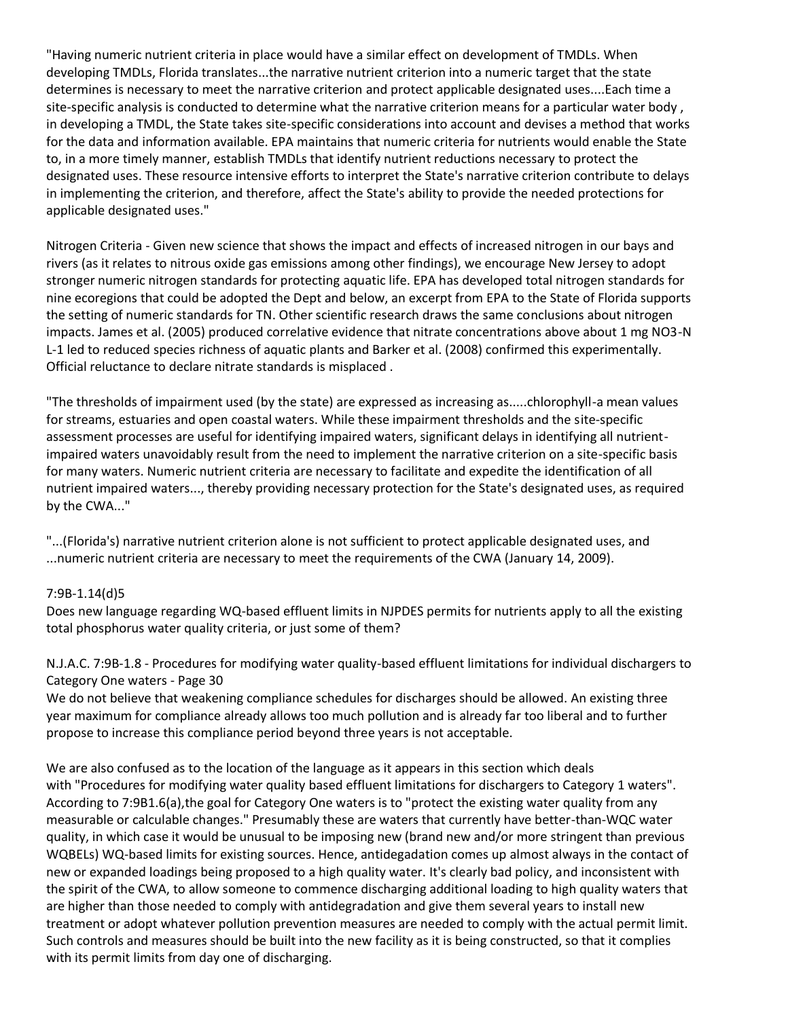"Having numeric nutrient criteria in place would have a similar effect on development of TMDLs. When developing TMDLs, Florida translates...the narrative nutrient criterion into a numeric target that the state determines is necessary to meet the narrative criterion and protect applicable designated uses....Each time a site-specific analysis is conducted to determine what the narrative criterion means for a particular water body , in developing a TMDL, the State takes site-specific considerations into account and devises a method that works for the data and information available. EPA maintains that numeric criteria for nutrients would enable the State to, in a more timely manner, establish TMDLs that identify nutrient reductions necessary to protect the designated uses. These resource intensive efforts to interpret the State's narrative criterion contribute to delays in implementing the criterion, and therefore, affect the State's ability to provide the needed protections for applicable designated uses."

Nitrogen Criteria - Given new science that shows the impact and effects of increased nitrogen in our bays and rivers (as it relates to nitrous oxide gas emissions among other findings), we encourage New Jersey to adopt stronger numeric nitrogen standards for protecting aquatic life. EPA has developed total nitrogen standards for nine ecoregions that could be adopted the Dept and below, an excerpt from EPA to the State of Florida supports the setting of numeric standards for TN. Other scientific research draws the same conclusions about nitrogen impacts. James et al. (2005) produced correlative evidence that nitrate concentrations above about 1 mg NO3-N L-1 led to reduced species richness of aquatic plants and Barker et al. (2008) confirmed this experimentally. Official reluctance to declare nitrate standards is misplaced .

"The thresholds of impairment used (by the state) are expressed as increasing as.....chlorophyll-a mean values for streams, estuaries and open coastal waters. While these impairment thresholds and the site-specific assessment processes are useful for identifying impaired waters, significant delays in identifying all nutrientimpaired waters unavoidably result from the need to implement the narrative criterion on a site-specific basis for many waters. Numeric nutrient criteria are necessary to facilitate and expedite the identification of all nutrient impaired waters..., thereby providing necessary protection for the State's designated uses, as required by the CWA..."

"...(Florida's) narrative nutrient criterion alone is not sufficient to protect applicable designated uses, and ...numeric nutrient criteria are necessary to meet the requirements of the CWA (January 14, 2009).

## 7:9B-1.14(d)5

Does new language regarding WQ-based effluent limits in NJPDES permits for nutrients apply to all the existing total phosphorus water quality criteria, or just some of them?

N.J.A.C. 7:9B-1.8 - Procedures for modifying water quality-based effluent limitations for individual dischargers to Category One waters - Page 30

We do not believe that weakening compliance schedules for discharges should be allowed. An existing three year maximum for compliance already allows too much pollution and is already far too liberal and to further propose to increase this compliance period beyond three years is not acceptable.

We are also confused as to the location of the language as it appears in this section which deals with "Procedures for modifying water quality based effluent limitations for dischargers to Category 1 waters". According to 7:9B1.6(a),the goal for Category One waters is to "protect the existing water quality from any measurable or calculable changes." Presumably these are waters that currently have better-than-WQC water quality, in which case it would be unusual to be imposing new (brand new and/or more stringent than previous WQBELs) WQ-based limits for existing sources. Hence, antidegadation comes up almost always in the contact of new or expanded loadings being proposed to a high quality water. It's clearly bad policy, and inconsistent with the spirit of the CWA, to allow someone to commence discharging additional loading to high quality waters that are higher than those needed to comply with antidegradation and give them several years to install new treatment or adopt whatever pollution prevention measures are needed to comply with the actual permit limit. Such controls and measures should be built into the new facility as it is being constructed, so that it complies with its permit limits from day one of discharging.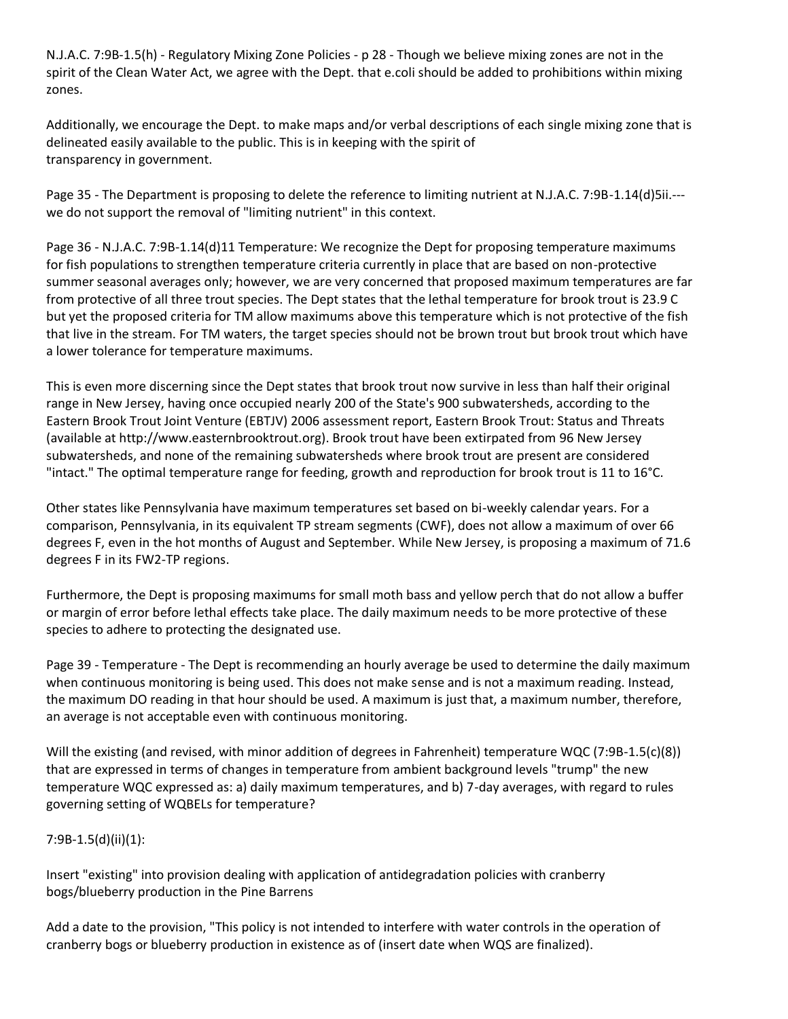N.J.A.C. 7:9B-1.5(h) - Regulatory Mixing Zone Policies - p 28 - Though we believe mixing zones are not in the spirit of the Clean Water Act, we agree with the Dept. that e.coli should be added to prohibitions within mixing zones.

Additionally, we encourage the Dept. to make maps and/or verbal descriptions of each single mixing zone that is delineated easily available to the public. This is in keeping with the spirit of transparency in government.

Page 35 - The Department is proposing to delete the reference to limiting nutrient at N.J.A.C. 7:9B-1.14(d)5ii.-- we do not support the removal of "limiting nutrient" in this context.

Page 36 - N.J.A.C. 7:9B-1.14(d)11 Temperature: We recognize the Dept for proposing temperature maximums for fish populations to strengthen temperature criteria currently in place that are based on non-protective summer seasonal averages only; however, we are very concerned that proposed maximum temperatures are far from protective of all three trout species. The Dept states that the lethal temperature for brook trout is 23.9 C but yet the proposed criteria for TM allow maximums above this temperature which is not protective of the fish that live in the stream. For TM waters, the target species should not be brown trout but brook trout which have a lower tolerance for temperature maximums.

This is even more discerning since the Dept states that brook trout now survive in less than half their original range in New Jersey, having once occupied nearly 200 of the State's 900 subwatersheds, according to the Eastern Brook Trout Joint Venture (EBTJV) 2006 assessment report, Eastern Brook Trout: Status and Threats (available at http://www.easternbrooktrout.org). Brook trout have been extirpated from 96 New Jersey subwatersheds, and none of the remaining subwatersheds where brook trout are present are considered "intact." The optimal temperature range for feeding, growth and reproduction for brook trout is 11 to 16°C.

Other states like Pennsylvania have maximum temperatures set based on bi-weekly calendar years. For a comparison, Pennsylvania, in its equivalent TP stream segments (CWF), does not allow a maximum of over 66 degrees F, even in the hot months of August and September. While New Jersey, is proposing a maximum of 71.6 degrees F in its FW2-TP regions.

Furthermore, the Dept is proposing maximums for small moth bass and yellow perch that do not allow a buffer or margin of error before lethal effects take place. The daily maximum needs to be more protective of these species to adhere to protecting the designated use.

Page 39 - Temperature - The Dept is recommending an hourly average be used to determine the daily maximum when continuous monitoring is being used. This does not make sense and is not a maximum reading. Instead, the maximum DO reading in that hour should be used. A maximum is just that, a maximum number, therefore, an average is not acceptable even with continuous monitoring.

Will the existing (and revised, with minor addition of degrees in Fahrenheit) temperature WQC (7:9B-1.5(c)(8)) that are expressed in terms of changes in temperature from ambient background levels "trump" the new temperature WQC expressed as: a) daily maximum temperatures, and b) 7-day averages, with regard to rules governing setting of WQBELs for temperature?

## 7:9B-1.5(d)(ii)(1):

Insert "existing" into provision dealing with application of antidegradation policies with cranberry bogs/blueberry production in the Pine Barrens

Add a date to the provision, "This policy is not intended to interfere with water controls in the operation of cranberry bogs or blueberry production in existence as of (insert date when WQS are finalized).